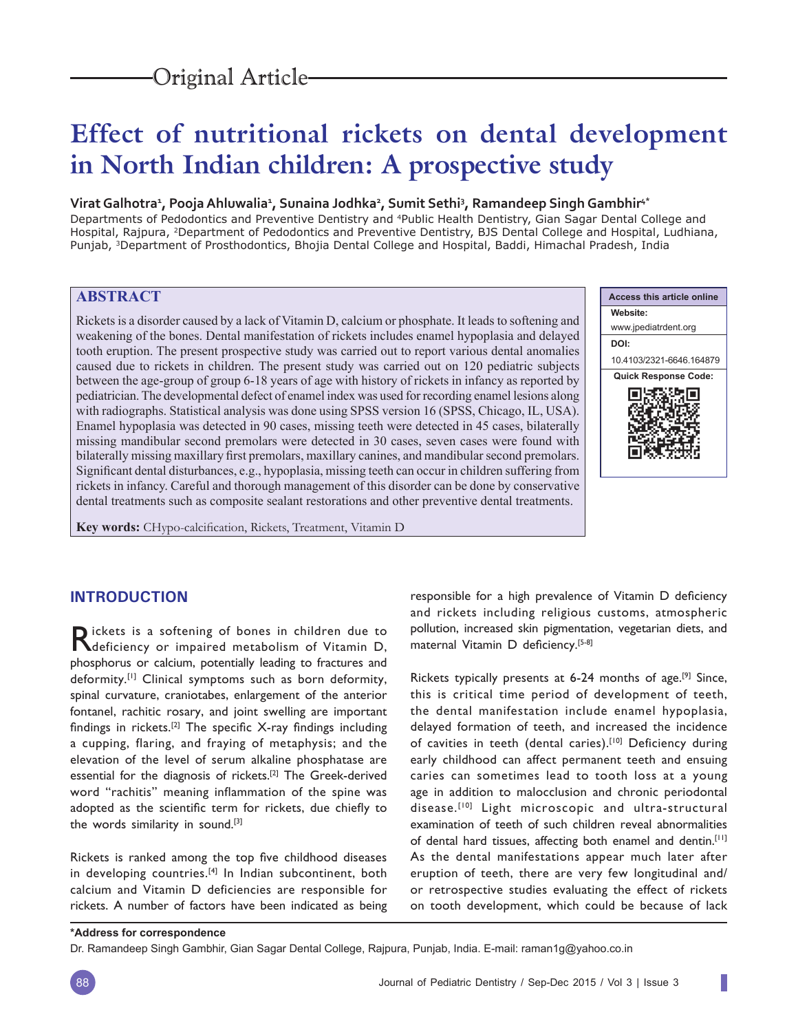# **Effect of nutritional rickets on dental development in North Indian children: A prospective study**

## **Virat Galhotra1 , Pooja Ahluwalia1 , Sunaina Jodhka2 , Sumit Sethi3 , Ramandeep Singh Gambhir4\***

Departments of Pedodontics and Preventive Dentistry and 4Public Health Dentistry, Gian Sagar Dental College and Hospital, Rajpura, 2Department of Pedodontics and Preventive Dentistry, BJS Dental College and Hospital, Ludhiana, Punjab, 3Department of Prosthodontics, Bhojia Dental College and Hospital, Baddi, Himachal Pradesh, India

## **ABSTRACT**

Rickets is a disorder caused by a lack of Vitamin D, calcium or phosphate. It leads to softening and weakening of the bones. Dental manifestation of rickets includes enamel hypoplasia and delayed tooth eruption. The present prospective study was carried out to report various dental anomalies caused due to rickets in children. The present study was carried out on 120 pediatric subjects between the age-group of group 6-18 years of age with history of rickets in infancy as reported by pediatrician. The developmental defect of enamel index was used for recording enamel lesions along with radiographs. Statistical analysis was done using SPSS version 16 (SPSS, Chicago, IL, USA). Enamel hypoplasia was detected in 90 cases, missing teeth were detected in 45 cases, bilaterally missing mandibular second premolars were detected in 30 cases, seven cases were found with bilaterally missing maxillary first premolars, maxillary canines, and mandibular second premolars. Significant dental disturbances, e.g., hypoplasia, missing teeth can occur in children suffering from rickets in infancy. Careful and thorough management of this disorder can be done by conservative dental treatments such as composite sealant restorations and other preventive dental treatments.

**Key words:** CHypo-calcification, Rickets, Treatment, Vitamin D



ı

## **INTRODUCTION**

Rickets is a softening of bones in children due to Reficiency or impaired metabolism of Vitamin D, phosphorus or calcium, potentially leading to fractures and deformity.<sup>[1]</sup> Clinical symptoms such as born deformity, spinal curvature, craniotabes, enlargement of the anterior fontanel, rachitic rosary, and joint swelling are important findings in rickets.<sup>[2]</sup> The specific X-ray findings including a cupping, flaring, and fraying of metaphysis; and the elevation of the level of serum alkaline phosphatase are essential for the diagnosis of rickets.[2] The Greek-derived word "rachitis" meaning inflammation of the spine was adopted as the scientific term for rickets, due chiefly to the words similarity in sound.[3]

Rickets is ranked among the top five childhood diseases in developing countries.<sup>[4]</sup> In Indian subcontinent, both calcium and Vitamin D deficiencies are responsible for rickets. A number of factors have been indicated as being responsible for a high prevalence of Vitamin D deficiency and rickets including religious customs, atmospheric pollution, increased skin pigmentation, vegetarian diets, and maternal Vitamin D deficiency.[5-8]

Rickets typically presents at 6-24 months of age.[9] Since, this is critical time period of development of teeth, the dental manifestation include enamel hypoplasia, delayed formation of teeth, and increased the incidence of cavities in teeth (dental caries).<sup>[10]</sup> Deficiency during early childhood can affect permanent teeth and ensuing caries can sometimes lead to tooth loss at a young age in addition to malocclusion and chronic periodontal disease.<sup>[10]</sup> Light microscopic and ultra-structural examination of teeth of such children reveal abnormalities of dental hard tissues, affecting both enamel and dentin.[11] As the dental manifestations appear much later after eruption of teeth, there are very few longitudinal and/ or retrospective studies evaluating the effect of rickets on tooth development, which could be because of lack

Dr. Ramandeep Singh Gambhir, Gian Sagar Dental College, Rajpura, Punjab, India. E-mail: raman1g@yahoo.co.in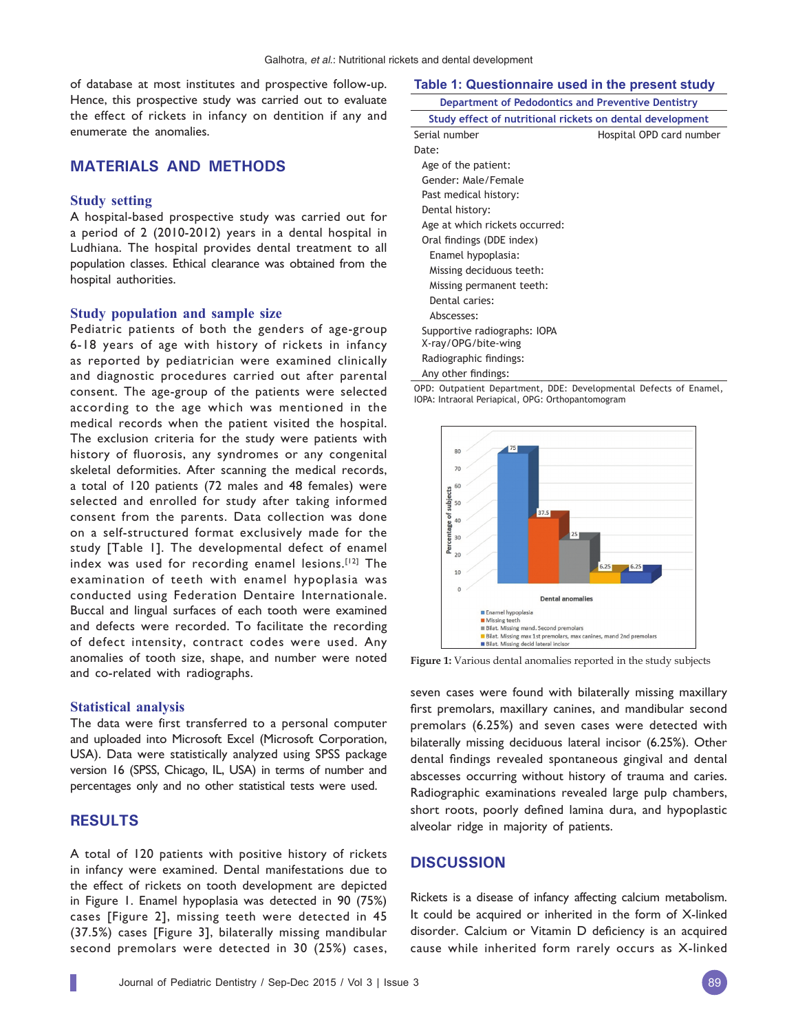of database at most institutes and prospective follow-up. Hence, this prospective study was carried out to evaluate the effect of rickets in infancy on dentition if any and enumerate the anomalies.

## **MATERIALS AND METHODS**

## **Study setting**

A hospital-based prospective study was carried out for a period of 2 (2010-2012) years in a dental hospital in Ludhiana. The hospital provides dental treatment to all population classes. Ethical clearance was obtained from the hospital authorities.

#### **Study population and sample size**

Pediatric patients of both the genders of age-group 6-18 years of age with history of rickets in infancy as reported by pediatrician were examined clinically and diagnostic procedures carried out after parental consent. The age-group of the patients were selected according to the age which was mentioned in the medical records when the patient visited the hospital. The exclusion criteria for the study were patients with history of fluorosis, any syndromes or any congenital skeletal deformities. After scanning the medical records, a total of 120 patients (72 males and 48 females) were selected and enrolled for study after taking informed consent from the parents. Data collection was done on a self-structured format exclusively made for the study [Table 1]. The developmental defect of enamel index was used for recording enamel lesions.<sup>[12]</sup> The examination of teeth with enamel hypoplasia was conducted using Federation Dentaire Internationale. Buccal and lingual surfaces of each tooth were examined and defects were recorded. To facilitate the recording of defect intensity, contract codes were used. Any anomalies of tooth size, shape, and number were noted and co-related with radiographs.

#### **Statistical analysis**

The data were first transferred to a personal computer and uploaded into Microsoft Excel (Microsoft Corporation, USA). Data were statistically analyzed using SPSS package version 16 (SPSS, Chicago, IL, USA) in terms of number and percentages only and no other statistical tests were used.

## **RESULTS**

A total of 120 patients with positive history of rickets in infancy were examined. Dental manifestations due to the effect of rickets on tooth development are depicted in Figure 1. Enamel hypoplasia was detected in 90 (75%) cases [Figure 2], missing teeth were detected in 45 (37.5%) cases [Figure 3], bilaterally missing mandibular second premolars were detected in 30 (25%) cases,

#### **Table 1: Questionnaire used in the present study**

| Department of Pedodontics and Preventive Dentistry        |                          |
|-----------------------------------------------------------|--------------------------|
| Study effect of nutritional rickets on dental development |                          |
| Serial number                                             | Hospital OPD card number |
| Date:                                                     |                          |
| Age of the patient:                                       |                          |
| Gender: Male/Female                                       |                          |
| Past medical history:                                     |                          |
| Dental history:                                           |                          |
| Age at which rickets occurred:                            |                          |
| Oral findings (DDE index)                                 |                          |
| Enamel hypoplasia:                                        |                          |
| Missing deciduous teeth:                                  |                          |
| Missing permanent teeth:                                  |                          |
| Dental caries:                                            |                          |
| Abscesses:                                                |                          |
| Supportive radiographs: IOPA                              |                          |
| X-ray/OPG/bite-wing                                       |                          |
| Radiographic findings:                                    |                          |
| Any other findings:                                       |                          |

OPD: Outpatient Department, DDE: Developmental Defects of Enamel, IOPA: Intraoral Periapical, OPG: Orthopantomogram



**Figure 1:** Various dental anomalies reported in the study subjects

seven cases were found with bilaterally missing maxillary first premolars, maxillary canines, and mandibular second premolars (6.25%) and seven cases were detected with bilaterally missing deciduous lateral incisor (6.25%). Other dental findings revealed spontaneous gingival and dental abscesses occurring without history of trauma and caries. Radiographic examinations revealed large pulp chambers, short roots, poorly defined lamina dura, and hypoplastic alveolar ridge in majority of patients.

## **DISCUSSION**

Rickets is a disease of infancy affecting calcium metabolism. It could be acquired or inherited in the form of X-linked disorder. Calcium or Vitamin D deficiency is an acquired cause while inherited form rarely occurs as X-linked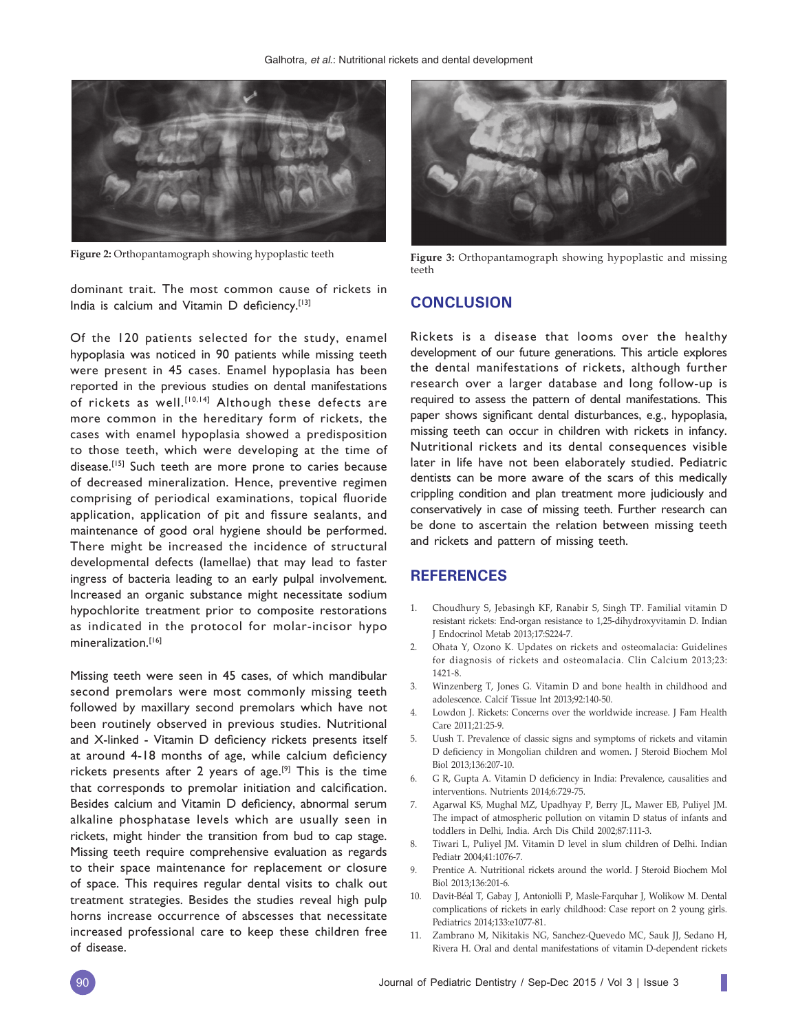

dominant trait. The most common cause of rickets in India is calcium and Vitamin D deficiency.<sup>[13]</sup>

Of the 120 patients selected for the study, enamel hypoplasia was noticed in 90 patients while missing teeth were present in 45 cases. Enamel hypoplasia has been reported in the previous studies on dental manifestations of rickets as well.<sup>[10,14]</sup> Although these defects are more common in the hereditary form of rickets, the cases with enamel hypoplasia showed a predisposition to those teeth, which were developing at the time of disease.<sup>[15]</sup> Such teeth are more prone to caries because of decreased mineralization. Hence, preventive regimen comprising of periodical examinations, topical fluoride application, application of pit and fissure sealants, and maintenance of good oral hygiene should be performed. There might be increased the incidence of structural developmental defects (lamellae) that may lead to faster ingress of bacteria leading to an early pulpal involvement. Increased an organic substance might necessitate sodium hypochlorite treatment prior to composite restorations as indicated in the protocol for molar-incisor hypo mineralization.[16]

Missing teeth were seen in 45 cases, of which mandibular second premolars were most commonly missing teeth followed by maxillary second premolars which have not been routinely observed in previous studies. Nutritional and X-linked - Vitamin D deficiency rickets presents itself at around 4-18 months of age, while calcium deficiency rickets presents after 2 years of age.<sup>[9]</sup> This is the time that corresponds to premolar initiation and calcification. Besides calcium and Vitamin D deficiency, abnormal serum alkaline phosphatase levels which are usually seen in rickets, might hinder the transition from bud to cap stage. Missing teeth require comprehensive evaluation as regards to their space maintenance for replacement or closure of space. This requires regular dental visits to chalk out treatment strategies. Besides the studies reveal high pulp horns increase occurrence of abscesses that necessitate increased professional care to keep these children free of disease.



**Figure 2:** Orthopantamograph showing hypoplastic teeth **Figure 3:** Orthopantamograph showing hypoplastic and missing teeth

## **CONCLUSION**

Rickets is a disease that looms over the healthy development of our future generations. This article explores the dental manifestations of rickets, although further research over a larger database and long follow-up is required to assess the pattern of dental manifestations. This paper shows significant dental disturbances, e.g., hypoplasia, missing teeth can occur in children with rickets in infancy. Nutritional rickets and its dental consequences visible later in life have not been elaborately studied. Pediatric dentists can be more aware of the scars of this medically crippling condition and plan treatment more judiciously and conservatively in case of missing teeth. Further research can be done to ascertain the relation between missing teeth and rickets and pattern of missing teeth.

## **REFERENCES**

- 1. Choudhury S, Jebasingh KF, Ranabir S, Singh TP. Familial vitamin D resistant rickets: End-organ resistance to 1,25-dihydroxyvitamin D. Indian J Endocrinol Metab 2013;17:S224-7.
- 2. Ohata Y, Ozono K. Updates on rickets and osteomalacia: Guidelines for diagnosis of rickets and osteomalacia. Clin Calcium 2013;23: 1421-8.
- 3. Winzenberg T, Jones G. Vitamin D and bone health in childhood and adolescence. Calcif Tissue Int 2013;92:140-50.
- 4. Lowdon J. Rickets: Concerns over the worldwide increase. J Fam Health Care 2011;21:25-9.
- 5. Uush T. Prevalence of classic signs and symptoms of rickets and vitamin D deficiency in Mongolian children and women. J Steroid Biochem Mol Biol 2013;136:207-10.
- 6. G R, Gupta A. Vitamin D deficiency in India: Prevalence, causalities and interventions. Nutrients 2014;6:729-75.
- 7. Agarwal KS, Mughal MZ, Upadhyay P, Berry JL, Mawer EB, Puliyel JM. The impact of atmospheric pollution on vitamin D status of infants and toddlers in Delhi, India. Arch Dis Child 2002;87:111-3.
- 8. Tiwari L, Puliyel JM. Vitamin D level in slum children of Delhi. Indian Pediatr 2004;41:1076-7.
- 9. Prentice A. Nutritional rickets around the world. J Steroid Biochem Mol Biol 2013;136:201-6.
- 10. Davit-Béal T, Gabay J, Antoniolli P, Masle-Farquhar J, Wolikow M. Dental complications of rickets in early childhood: Case report on 2 young girls. Pediatrics 2014;133:e1077-81.
- 11. Zambrano M, Nikitakis NG, Sanchez-Quevedo MC, Sauk JJ, Sedano H, Rivera H. Oral and dental manifestations of vitamin D-dependent rickets